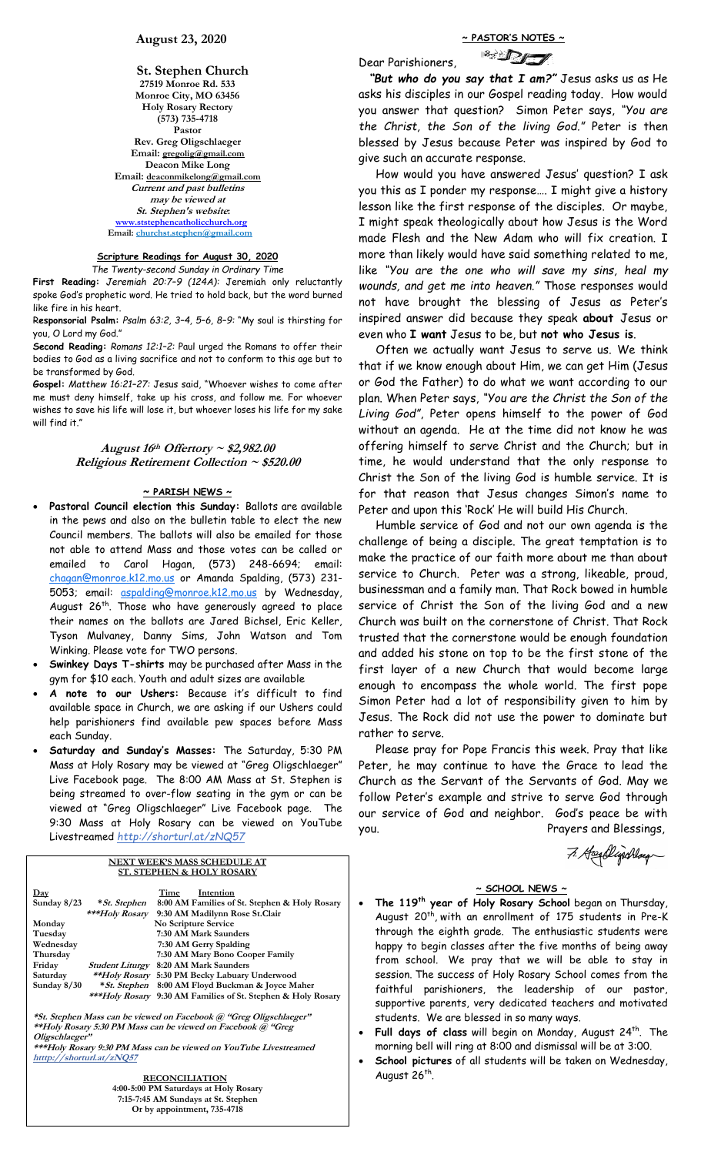**St. Stephen Church 27519 Monroe Rd. 533 Monroe City, MO 63456 Holy Rosary Rectory (573) 735-4718 Pastor Rev. Greg Oligschlaeger Email: gregolig@gmail.com Deacon Mike Long Email: deaconmikelong@gmail.com Current and past bulletins may be viewed at St. Stephen's website: [www.ststephencatholicchurch.org](http://www.ststephencatholicchurch.org/) Email: [churchst.stephen@gmail.com](mailto:churchst.stephen@gmail.com)**

# **Scripture Readings for August 30, 2020**

*The Twenty-second Sunday in Ordinary Time* **First Reading:** *Jeremiah 20:7–9 (124A):* Jeremiah only reluctantly spoke God's prophetic word. He tried to hold back, but the word burned like fire in his heart.

R**esponsorial Psalm:** *Psalm 63:2, 3–4, 5–6, 8–9:* "My soul is thirsting for you, O Lord my God."

**Second Reading:** *Romans 12:1–2:* Paul urged the Romans to offer their bodies to God as a living sacrifice and not to conform to this age but to be transformed by God.

**Gospel:** *Matthew 16:21–27:* Jesus said, "Whoever wishes to come after me must deny himself, take up his cross, and follow me. For whoever wishes to save his life will lose it, but whoever loses his life for my sake will find it."

# **August 16th Offertory ~ \$2,982.00 Religious Retirement Collection ~ \$520.00**

## **~ PARISH NEWS ~**

- **Pastoral Council election this Sunday:** Ballots are available in the pews and also on the bulletin table to elect the new Council members. The ballots will also be emailed for those not able to attend Mass and those votes can be called or emailed to Carol Hagan, (573) 248-6694; email: [chagan@monroe.k12.mo.us](mailto:chagan@monroe.k12.mo.us) or Amanda Spalding, (573) 231 5053; email: [aspalding@monroe.k12.mo.us](mailto:aspalding@monroe.k12.mo.us) by Wednesday, August 26<sup>th</sup>. Those who have generously agreed to place their names on the ballots are Jared Bichsel, Eric Keller, Tyson Mulvaney, Danny Sims, John Watson and Tom Winking. Please vote for TWO persons.
- **Swinkey Days T-shirts** may be purchased after Mass in the gym for \$10 each. Youth and adult sizes are available
- **A note to our Ushers:** Because it's difficult to find available space in Church, we are asking if our Ushers could help parishioners find available pew spaces before Mass each Sunday.
- **Saturday and Sunday's Masses:** The Saturday, 5:30 PM Mass at Holy Rosary may be viewed at "Greg Oligschlaeger" Live Facebook page. The 8:00 AM Mass at St. Stephen is being streamed to over-flow seating in the gym or can be viewed at "Greg Oligschlaeger" Live Facebook page. The 9:30 Mass at Holy Rosary can be viewed on YouTube Livestreamed *http://shorturl.at/zNQ57*

| <b>NEXT WEEK'S MASS SCHEDULE AT</b>  |                               |                                                              |  |
|--------------------------------------|-------------------------------|--------------------------------------------------------------|--|
| <b>ST. STEPHEN &amp; HOLY ROSARY</b> |                               |                                                              |  |
| $_{\rm{Day}}$                        |                               | Time<br>Intention                                            |  |
| Sunday $8/23$                        | * St. Stephen                 | 8:00 AM Families of St. Stephen & Holy Rosary                |  |
|                                      | ***Holy Rosary                | 9:30 AM Madilynn Rose St.Clair                               |  |
| Monday                               |                               | No Scripture Service                                         |  |
| Tuesday                              |                               | 7:30 AM Mark Saunders                                        |  |
| Wednesday                            |                               | 7:30 AM Gerry Spalding                                       |  |
| Thursday                             |                               | 7:30 AM Mary Bono Cooper Family                              |  |
| Friday                               | <i><b>Student Liturgy</b></i> | 8:20 AM Mark Saunders                                        |  |
| Saturday                             | <i>**Holy Rosary</i>          | 5:30 PM Becky Labuary Underwood                              |  |
| Sunday $8/30$                        | *St. Stephen                  | 8:00 AM Floyd Buckman & Joyce Maher                          |  |
|                                      |                               | ***Holy Rosary 9:30 AM Families of St. Stephen & Holy Rosary |  |

**\*St. Stephen Mass can be viewed on Facebook @ "Greg Oligschlaeger" \*\*Holy Rosary 5:30 PM Mass can be viewed on Facebook @ "Greg Oligschlaeger"**

**\*\*\*Holy Rosary 9:30 PM Mass can be viewed on YouTube Livestreamed htttp://shorturl.at/zNQ57** 

> **RECONCILIATION 4:00-5:00 PM Saturdays at Holy Rosary 7:15-7:45 AM Sundays at St. Stephen Or by appointment, 735-4718**

Dear Parishioners,



 *"But who do you say that I am?"* Jesus asks us as He asks his disciples in our Gospel reading today. How would you answer that question? Simon Peter says, *"You are the Christ, the Son of the living God."* Peter is then blessed by Jesus because Peter was inspired by God to give such an accurate response.

 How would you have answered Jesus' question? I ask you this as I ponder my response…. I might give a history lesson like the first response of the disciples. Or maybe, I might speak theologically about how Jesus is the Word made Flesh and the New Adam who will fix creation. I more than likely would have said something related to me, like *"You are the one who will save my sins, heal my wounds, and get me into heaven."* Those responses would not have brought the blessing of Jesus as Peter's inspired answer did because they speak **about** Jesus or even who **I want** Jesus to be, but **not who Jesus is**.

 Often we actually want Jesus to serve us. We think that if we know enough about Him, we can get Him (Jesus or God the Father) to do what we want according to our plan. When Peter says, *"You are the Christ the Son of the Living God"*, Peter opens himself to the power of God without an agenda. He at the time did not know he was offering himself to serve Christ and the Church; but in time, he would understand that the only response to Christ the Son of the living God is humble service. It is for that reason that Jesus changes Simon's name to Peter and upon this 'Rock' He will build His Church.

 Humble service of God and not our own agenda is the challenge of being a disciple. The great temptation is to make the practice of our faith more about me than about service to Church. Peter was a strong, likeable, proud, businessman and a family man. That Rock bowed in humble service of Christ the Son of the living God and a new Church was built on the cornerstone of Christ. That Rock trusted that the cornerstone would be enough foundation and added his stone on top to be the first stone of the first layer of a new Church that would become large enough to encompass the whole world. The first pope Simon Peter had a lot of responsibility given to him by Jesus. The Rock did not use the power to dominate but rather to serve.

 Please pray for Pope Francis this week. Pray that like Peter, he may continue to have the Grace to lead the Church as the Servant of the Servants of God. May we follow Peter's example and strive to serve God through our service of God and neighbor. God's peace be with you. Prayers and Blessings,

7. Hordlingchlaug

# **~ SCHOOL NEWS ~**

- **The 119th year of Holy Rosary School** began on Thursday, August 20<sup>th</sup>, with an enrollment of 175 students in Pre-K through the eighth grade. The enthusiastic students were happy to begin classes after the five months of being away from school. We pray that we will be able to stay in session. The success of Holy Rosary School comes from the faithful parishioners, the leadership of our pastor, supportive parents, very dedicated teachers and motivated students. We are blessed in so many ways.
- **Full days of class** will begin on Monday, August 24th . The morning bell will ring at 8:00 and dismissal will be at 3:00.
- **School pictures** of all students will be taken on Wednesday, August 26<sup>th</sup>.